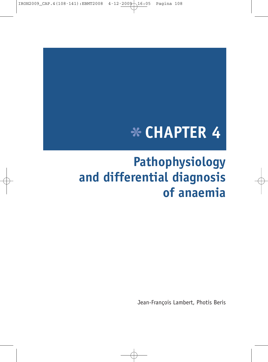IRON2009\_CAP.4(108-141):EBMT2008 4-12-2009 16:05 Pagina 108

# \* **CHAPTER 4**

# **Pathophysiology and differential diagnosis of anaemia**

Jean-François Lambert, Photis Beris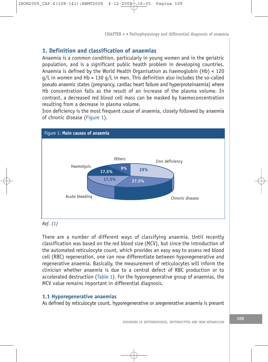# **1. Definition and classification of anaemias**

Anaemia is a common condition, particularly in young women and in the geriatric population, and is a significant public health problem in developing countries. Anaemia is defined by the World Health Organisation as haemoglobin (Hb) < 120  $q/L$  in women and Hb < 130  $q/L$  in men. This definition also includes the so-called pseudo anaemic states (pregnancy, cardiac heart failure and hyperproteinaemia) where Hb concentration falls as the result of an increase of the plasma volume. In contrast, a decreased red blood cell mass can be masked by haemoconcentration resulting from a decrease in plasma volume.

Iron deficiency is the most frequent cause of anaemia, closely followed by anaemia of chronic disease (Figure 1).



*Ref. (1)*

There are a number of different ways of classifying anaemia. Until recently classification was based on the red blood size (MCV), but since the introduction of the automated reticulocyte count, which provides an easy way to assess red blood cell (RBC) regeneration, one can now differentiate between hyporegenerative and regenerative anaemia. Basically, the measurement of reticulocytes will inform the clinician whether anaemia is due to a central defect of RBC production or to accelerated destruction (Table 1). For the hyporegenerative group of anaemias, the MCV value remains important in differential diagnosis.

# **1.1 Hyporegenerative anaemias**

As defined by reticulocyte count, hyporegenerative or aregenerative anaemia is present

DISORDERS OF ERYTHROPOIESIS, ERYTHROCYTES AND IRON METABOLISM **<sup>109</sup>**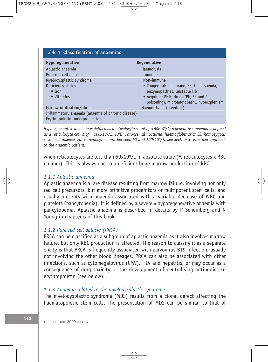| Table 1: <b>Classification of anaemias</b>        |                                            |
|---------------------------------------------------|--------------------------------------------|
| <b>Hyporegenerative</b>                           | Regenerative                               |
| Aplastic anaemia                                  | Haemolysis                                 |
| Pure red cell aplasia                             | Immune                                     |
| Myelodysplastic syndrome                          | Non-immune                                 |
| Deficiency states                                 | • Congenital: membrane, SS, thalassaemia,  |
| $\bullet$ Tron                                    | enzymopathies, unstable Hb                 |
| • Vitamins                                        | • Acquired: PNH, drugs (Pb, Zn and Cu      |
|                                                   | poisoning), microangiopathy, hypersplenism |
| Marrow infiltration/fibrosis                      | Haemorrhage (bleeding)                     |
| Inflammatory anaemia (anaemia of chronic disease) |                                            |
| Erythropoietin underproduction                    |                                            |

*Hyporegenerative anaemia is defined as a reticulocyte count of < 50x109/L; regenerative anaemia is defined as a reticulocyte count of > 100x109/L. PNH: Paroxysmal nocturnal haemoglobinuria; SS: homozygous sickle cell disease. For reticulocyte count between 50 and 100x109/L, see Section 3: Practical approach to the anaemic patient.*

when reticulocytes are less than 50x10<sup>9</sup>/L in absolute value (% reticulocytes x RBC number). This is always due to a deficient bone marrow production of RBC.

# *1.1.1 Aplastic anaemia*

Aplastic anaemia is a rare disease resulting from marrow failure, involving not only red cell precursors, but more primitive progenitors or multipotent stem cells, and usually presents with anaemia associated with a variable decrease of WBC and platelets (pancytopenia). It is defined by a severely hyporegenerative anaemia with pancytopenia. Aplastic anaemia is described in details by P Scheinberg and N Young in chapter 6 of this book.

# *1.1.2 Pure red cell aplasia (PRCA)*

PRCA can be classified as a subgroup of aplastic anaemia as it also involves marrow failure, but only RBC production is affected. The reason to classify it as a separate entity is that PRCA is frequently associated with parvovirus B19 infection, usually not involving the other blood lineages. PRCA can also be associated with other infections, such as cytomegalovirus (CMV), HIV and hepatitis, or may occur as a consequence of drug toxicity or the development of neutralising antibodies to erythropoietin (see below).

#### *1.1.3 Anaemia related to the myelodysplastic syndrome*

The myelodysplastic syndrome (MDS) results from a clonal defect affecting the haematopoietic stem cells. The presentation of MDS can be similar to that of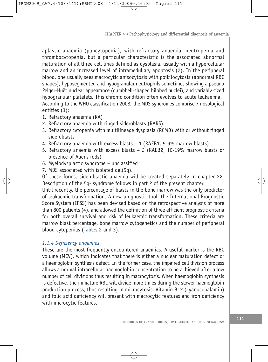aplastic anaemia (pancytopenia), with refractory anaemia, neutropenia and thrombocytopenia, but a particular characteristic is the associated abnormal maturation of all three cell lines defined as dysplasia, usually with a hypercellular marrow and an increased level of intramedullary apoptosis (2). In the peripheral blood, one usually sees macrocytic anisocytosis with poikilocytosis (abnormal RBC shapes), hyposegmented and hypogranular neutrophils sometimes showing a pseudo Pelger-Huët nuclear appearance (dumbbell-shaped bilobed nuclei), and variably sized hypogranular platelets. This chronic condition often evolves to acute leukaemia. According to the WHO classification 2008, the MDS syndromes comprise 7 nosological entities (3):

- 1. Refractory anaemia (RA)
- 2. Refractory anaemia with ringed sideroblasts (RARS)
- 3. Refractory cytopenia with multilineage dysplasia (RCMD) with or without ringed sideroblasts
- 4. Refractory anaemia with excess blasts 1 (RAEB1, 5-9% marrow blasts)
- 5. Refractory anaemia with excess blasts 2 (RAEB2, 10-19% marrow blasts or presence of Auer's rods)
- 6. Myelodysplastic syndrome unclassified
- 7. MDS associated with isolated del(5q).

Of these forms, sideroblastic anaemia will be treated separately in chapter 22. Description of the 5q- syndrome follows in part 2 of the present chapter.

Until recently, the percentage of blasts in the bone marrow was the only predictor of leukaemic transformation. A new prognostic tool, the International Prognostic Score System (IPSS) has been devised based on the retrospective analysis of more than 800 patients (4), and allowed the definition of three efficient prognostic criteria for both overall survival and risk of leukaemic transformation. These criteria are marrow blast percentage, bone marrow cytogenetics and the number of peripheral blood cytopenias (Tables 2 and 3).

# *1.1.4 Deficiency anaemias*

These are the most frequently encountered anaemias. A useful marker is the RBC volume (MCV), which indicates that there is either a nuclear maturation defect or a haemoglobin synthesis defect. In the former case, the impaired cell division process allows a normal intracellular haemoglobin concentration to be achieved after a low number of cell divisions thus resulting in macrocytosis. When haemoglobin synthesis is defective, the immature RBC will divide more times during the slower haemoglobin production process, thus resulting in microcytosis. Vitamin B12 (cyanocobalamin) and folic acid deficiency will present with macrocytic features and iron deficiency with microcytic features.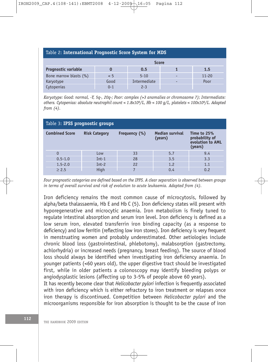| Table 2: International Prognostic Score System for MDS |         |              |           |
|--------------------------------------------------------|---------|--------------|-----------|
| <b>Score</b>                                           |         |              |           |
| <b>Prognostic variable</b>                             |         | 0.5          | 1.5       |
| Bone marrow blasts (%)                                 | < 5     | $5 - 10$     | $11 - 20$ |
| Karyotype                                              | Good    | Intermediate | Poor      |
| Cytopenias                                             | $0 - 1$ | $2 - 3$      |           |

*Karyotype: Good: normal, -Y, 5q-, 20q-; Poor: complex (>3 anomalies or chromosome 7); Intermediate: others. Cytopenias: absolute neutrophil count < 1.8x109/L, Hb < 100 g/L, platelets < 100x109/L. Adapted from (4).*

| Table 3: IPSS prognostic groups |                      |               |                                   |                                                              |
|---------------------------------|----------------------|---------------|-----------------------------------|--------------------------------------------------------------|
| <b>Combined Score</b>           | <b>Risk Category</b> | Frequency (%) | <b>Median survival</b><br>(years) | Time to 25%<br>probability of<br>evolution to AML<br>(years) |
|                                 | Low                  | 33            | 5.7                               | 9.4                                                          |
| $0.5 - 1.0$                     | $Int-1$              | 28            | 3.5                               | 3.3                                                          |
| $1.5 - 2.0$                     | $Int-2$              | 22            | 1.2                               | 1.1                                                          |
| $\geq 2.5$                      | High                 |               | 0.4                               | 0.2                                                          |

*Four prognostic categories are defined based on the IPPS. A clear separation is observed between groups in terms of overall survival and risk of evolution to acute leukaemia. Adapted from (4).*

Iron deficiency remains the most common cause of microcytosis, followed by alpha/beta thalassaemia, Hb E and Hb C (5). Iron deficiency states will present with hyporegenerative and microcytic anaemia. Iron metabolism is finely tuned to regulate intestinal absorption and serum iron level. Iron deficiency is defined as a low serum iron, elevated transferrin iron binding capacity (as a response to deficiency) and low ferritin (reflecting low iron stores). Iron deficiency is very frequent in menstruating women and probably underestimated. Other aetiologies include chronic blood loss (gastrointestinal, phlebotomy), malabsorption (gastrectomy, achlorhydria) or increased needs (pregnancy, breast feeding). The source of blood loss should always be identified when investigating iron deficiency anaemia. In younger patients (<60 years old), the upper digestive tract should be investigated first, while in older patients a colonoscopy may identify bleeding polyps or angiodysplastic lesions (affecting up to 3-5% of people above 60 years).

It has recently become clear that *Helicobacter pylori* infection is frequently associated with iron deficiency which is either refractory to iron treatment or relapses once iron therapy is discontinued. Competition between *Helicobacter pylori* and the microorganisms responsible for iron absorption is thought to be the cause of iron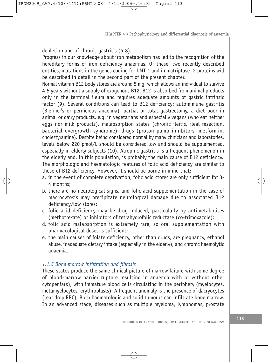depletion and of chronic gastritis (6-8).

Progress in our knowledge about iron metabolism has led to the recognition of the hereditary forms of iron deficiency anaemias. Of these, two recently described entities, mutations in the genes coding for DMT-1 and in matriptase -2 proteins will be described in detail in the second part of the present chapter.

Normal vitamin B12 body stores are around 5 mg, which allows an individual to survive 4-5 years without a supply of exogenous B12. B12 is absorbed from animal products only in the terminal ileum and requires adequate amounts of gastric intrinsic factor (9). Several conditions can lead to B12 deficiency: autoimmune gastritis (Biermer's or pernicious anaemia), partial or total gastrectomy, a diet poor in animal or dairy products, e.g. in vegetarians and especially vegans (who eat neither eggs nor milk products), malabsorption states (chronic ileitis, ileal resection, bacterial overgrowth syndrome), drugs (proton pump inhibitors, metformin, cholestyramine). Despite being considered normal by many clinicians and laboratories, levels below 220 pmol/L should be considered low and should be supplemented, especially in elderly subjects (10). Atrophic gastritis is a frequent phenomenon in the elderly and, in this population, is probably the main cause of B12 deficiency. The morphologic and haematologic features of folic acid deficiency are similar to those of B12 deficiency. However, it should be borne in mind that:

- a. in the event of complete deprivation, folic acid stores are only sufficient for 3- 4 months;
- b. there are no neurological signs, and folic acid supplementation in the case of macrocytosis may precipitate neurological damage due to associated B12 deficiency/low stores;
- c. folic acid deficiency may be drug induced, particularly by antimetabolites (methotrexate) or inhibitors of tetrahydrofolic reductase (co-trimoxazole);
- d. folic acid malabsorption is extremely rare, so oral supplementation with pharmacological doses is sufficient;
- e. the main causes of folate deficiency, other than drugs, are pregnancy, ethanol abuse, inadequate dietary intake (especially in the elderly), and chronic haemolytic anaemia.

# *1.1.5 Bone marrow infiltration and fibrosis*

These states produce the same clinical picture of marrow failure with some degree of blood-marrow barrier rupture resulting in anaemia with or without other cytopenia(s), with immature blood cells circulating in the periphery (myelocytes, metamyelocytes, erythroblasts). A frequent anomaly is the presence of dacryocytes (tear drop RBC). Both haematologic and solid tumours can infiltrate bone marrow. In an advanced stage, diseases such as multiple myeloma, lymphomas, prostate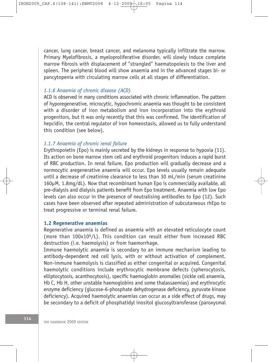cancer, lung cancer, breast cancer, and melanoma typically infiltrate the marrow. Primary Myelofibrosis, a myeloproliferative disorder, will slowly induce complete marrow fibrosis with displacement of "strangled" haematopoiesis to the liver and spleen. The peripheral blood will show anaemia and in the advanced stages bi- or pancytopenia with circulating marrow cells at all stages of differentiation.

#### *1.1.6 Anaemia of chronic disease (ACD)*

ACD is observed in many conditions associated with chronic inflammation. The pattern of hyporegenerative, microcytic, hypochromic anaemia was thought to be consistent with a disorder of iron metabolism and iron incorporation into the erythroid progenitors, but it was only recently that this was confirmed. The identification of hepcidin, the central regulator of iron homeostasis, allowed us to fully understand this condition (see below).

# *1.1.7 Anaemia of chronic renal failure*

Erythropoietin (Epo) is mainly secreted by the kidneys in response to hypoxia (11). Its action on bone marrow stem cell and erythroid progenitors induces a rapid burst of RBC production. In renal failure, Epo production will gradually decrease and a normocytic aregenerative anaemia will occur. Epo levels usually remain adequate until a decrease of creatinine clearance to less than 30 mL/min (serum creatinine 160µM, 1.8mg/dL). Now that recombinant human Epo is commercially available, all pre-dialysis and dialysis patients benefit from Epo treatment. Anaemia with low Epo levels can also occur in the presence of neutralising antibodies to Epo (12). Such cases have been observed after repeated administration of subcutaneous rhEpo to treat progressive or terminal renal failure.

# **1.2 Regenerative anaemias**

Regenerative anaemia is defined as anaemia with an elevated reticulocyte count (more than 100x109/L). This condition can result either from increased RBC destruction (i.e. haemolysis) or from haemorrhage.

Immune haemolytic anaemia is secondary to an immune mechanism leading to antibody-dependent red cell lysis, with or without activation of complement. Non-immune haemolysis is classified as either congenital or acquired. Congenital haemolytic conditions include erythrocytic membrane defects (spherocytosis, elliptocytosis, acanthocytosis), specific haemoglobin anomalies (sickle cell anaemia, Hb C, Hb H, other unstable haemoglobins and some thalassaemias) and erythrocytic enzyme deficiency (glucose-6-phosphate dehydrogenase deficiency, pyruvate kinase deficiency). Acquired haemolytic anaemias can occur as a side effect of drugs, may be secondary to a deficit of phosphatidyl inositol glucosyltransferase (paroxysmal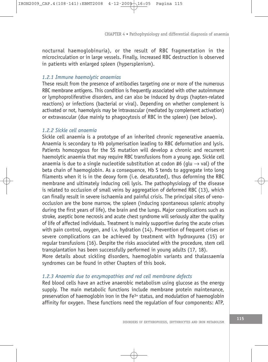nocturnal haemoglobinuria), or the result of RBC fragmentation in the microcirculation or in large vessels. Finally, increased RBC destruction is observed in patients with enlarged spleen (hypersplenism).

# *1.2.1 Immune haemolytic anaemias*

These result from the presence of antibodies targeting one or more of the numerous RBC membrane antigens. This condition is frequently associated with other autoimmune or lymphoproliferative disorders, and can also be induced by drugs (hapten-related reactions) or infections (bacterial or viral). Depending on whether complement is activated or not, haemolysis may be intravascular (mediated by complement activation) or extravascular (due mainly to phagocytosis of RBC in the spleen) (see below).

# *1.2.2 Sickle cell anaemia*

Sickle cell anaemia is a prototype of an inherited chronic regenerative anaemia. Anaemia is secondary to Hb polymerisation leading to RBC deformation and lysis. Patients homozygous for the SS mutation will develop a chronic and recurrent haemolytic anaemia that may require RBC transfusions from a young age. Sickle cell anaemia is due to a single nucleotide substitution at codon #6 (glu  $\rightarrow$  val) of the beta chain of haemoglobin. As a consequence, Hb S tends to aggregate into long filaments when it is in the deoxy form (i.e. desaturated), thus deforming the RBC membrane and ultimately inducing cell lysis. The pathophysiology of the disease is related to occlusion of small veins by aggregation of deformed RBC (13), which can finally result in severe ischaemia and painful crisis. The principal sites of venoocclusion are the bone marrow, the spleen (inducing spontaneous splenic atrophy during the first years of life), the brain and the lungs. Major complications such as stroke, aseptic bone necrosis and acute chest syndrome will seriously alter the quality of life of affected individuals. Treatment is mainly supportive during the acute crises with pain control, oxygen, and i.v. hydration (14). Prevention of frequent crises or severe complications can be achieved by treatment with hydroxyurea (15) or regular transfusions (16). Despite the risks associated with the procedure, stem cell transplantation has been successfully performed in young adults (17, 18). More details about sickling disorders, haemoglobin variants and thalassaemia

syndromes can be found in other Chapters of this book.

#### *1.2.3 Anaemia due to enzymopathies and red cell membrane defects*

Red blood cells have an active anaerobic metabolism using glucose as the energy supply. The main metabolic functions include membrane protein maintenance, preservation of haemoglobin iron in the Fe3+ status, and modulation of haemoglobin affinity for oxygen. These functions need the regulation of four components: ATP,

DISORDERS OF ERYTHROPOIESIS, ERYTHROCYTES AND IRON METABOLISM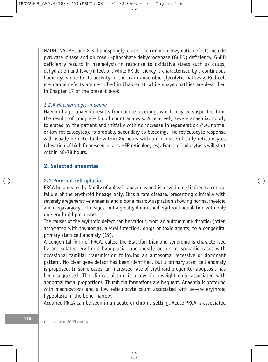NADH, NADPH, and 2,3 diphosphoglycerate. The common enzymatic defects include pyruvate kinase and glucose 6-phosphate dehydrogenase (G6PD) deficiency. G6PD deficiency results in haemolysis in response to oxidative stress such as drugs, dehydration and fever/infection, while PK deficiency is characterised by a continuous haemolysis due to its activity in the main anaerobic glycolytic pathway. Red cell membrane defects are described in Chapter 16 while enzymopathies are described in Chapter 17 of the present book.

# *1.2.4 Haemorrhagic anaemia*

Haemorrhagic anaemia results from acute bleeding, which may be suspected from the results of complete blood count analysis. A relatively severe anaemia, poorly tolerated by the patient and initially with no increase in regeneration (i.e. normal or low reticulocytes), is probably secondary to bleeding. The reticulocyte response will usually be detectable within 24 hours with an increase of early reticulocytes (elevation of high fluorescence rate, HFR reticulocytes). Frank reticulocytosis will start within 48-78 hours.

# **2. Selected anaemias**

#### **2.1 Pure red cell aplasia**

PRCA belongs to the family of aplastic anaemias and is a syndrome limited to central failure of the erythroid lineage only. It is a rare disease, presenting clinically with severely aregenerative anaemia and a bone marrow aspiration showing normal myeloid and megakaryocytic lineages, but a greatly diminished erythroid population with only rare erythroid precursors.

The causes of the erythroid defect can be various, from an autoimmune disorder (often associated with thymoma), a viral infection, drugs or toxic agents, to a congenital primary stem cell anomaly (19).

A congenital form of PRCA, called the Blackfan-Diamond syndrome is characterised by an isolated erythroid hypoplasia, and mostly occurs as sporadic cases with occasional familial transmission following an autosomal recessive or dominant pattern. No clear gene defect has been identified, but a primary stem cell anomaly is proposed. In some cases, an increased rate of erythroid progenitor apoptosis has been suggested. The clinical picture is a low birth-weight child associated with abnormal facial proportions. Thumb malformations are frequent. Anaemia is profound with macrocytosis and a low reticulocyte count associated with severe erythroid hypoplasia in the bone marrow.

Acquired PRCA can be seen in an acute or chronic setting. Acute PRCA is associated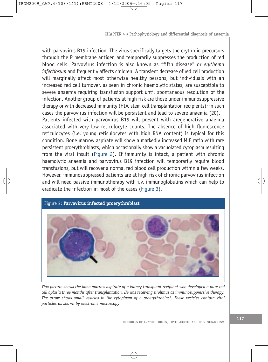with parvovirus B19 infection. The virus specifically targets the erythroid precursors through the P membrane antigen and temporarily suppresses the production of red blood cells. Parvovirus infection is also known as "fifth disease" or *erythema infectiosum* and frequently affects children. A transient decrease of red cell production will marginally affect most otherwise healthy persons, but individuals with an increased red cell turnover, as seen in chronic haemolytic states, are susceptible to severe anaemia requiring transfusion support until spontaneous resolution of the infection. Another group of patients at high risk are those under immunosuppressive therapy or with decreased immunity (HIV, stem cell transplantation recipients); in such cases the parvovirus infection will be persistent and lead to severe anaemia (20). Patients infected with parvovirus B19 will present with aregenerative anaemia associated with very low reticulocyte counts. The absence of high fluorescence reticulocytes (i.e. young reticulocytes with high RNA content) is typical for this condition. Bone marrow aspirate will show a markedly increased M:E ratio with rare persistent proerythroblasts, which occasionally show a vacuolated cytoplasm resulting from the viral insult (Figure 2). If immunity is intact, a patient with chronic haemolytic anaemia and parvovirus B19 infection will temporarily require blood transfusions, but will recover a normal red blood cell production within a few weeks. However, immunosuppressed patients are at high risk of chronic parvovirus infection and will need passive immunotherapy with i.v. immunoglobulins which can help to eradicate the infection in most of the cases (Figure 3).



*This picture shows the bone marrow aspirate of a kidney transplant recipient who developed a pure red cell aplasia three months after transplantation. He was receiving sirolimus as immunosuppressive therapy. The arrow shows small vesicles in the cytoplasm of a proerythroblast. These vesicles contain viral particles as shown by electronic microscopy.*

DISORDERS OF ERYTHROPOIESIS, ERYTHROCYTES AND IRON METABOLISM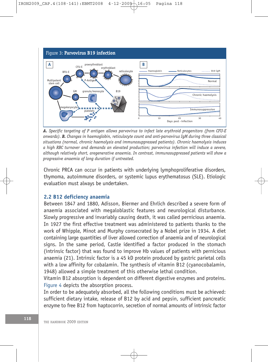

*A. Specific targeting of P antigen allows parvovirus to infect late erythroid progenitors (from CFU-E onwards). B. Changes in haemoglobin, reticulocyte count and anti-parvovirus IgM during three classical situations (normal, chronic haemolysis and immunosuppressed patients). Chronic haemolysis induces a high RBC turnover and demands an elevated production; parvovirus infection will induce a severe, although relatively short, aregenerative anaemia. In contrast, immunosuppressed patients will show a progressive anaemia of long duration if untreated.*

Chronic PRCA can occur in patients with underlying lymphoproliferative disorders, thymoma, autoimmune disorders, or systemic lupus erythematosus (SLE). Etiologic evaluation must always be undertaken.

# **2.2 B12 deficiency anaemia**

Between 1847 and 1880, Adisson, Biermer and Ehrlich described a severe form of anaemia associated with megaloblastic features and neurological disturbance. Slowly progressive and invariably causing death, it was called pernicious anaemia. In 1927 the first effective treatment was administered to patients thanks to the work of Whipple, Minot and Murphy consecrated by a Nobel prize in 1934. A diet containing large quantities of liver allowed correction of anaemia and of neurological signs. In the same period, Castle identified a factor produced in the stomach (intrinsic factor) that was found to improve Hb values of patients with pernicious anaemia (21). Intrinsic factor is a 45 kD protein produced by gastric parietal cells with a low affinity for cobalamin. The synthesis of vitamin B12 (cyanocobalamin, 1948) allowed a simple treatment of this otherwise lethal condition.

Vitamin B12 absorption is dependent on different digestive enzymes and proteins. Figure 4 depicts the absorption process.

In order to be adequately absorbed, all the following conditions must be achieved: sufficient dietary intake, release of B12 by acid and pepsin, sufficient pancreatic enzyme to free B12 from haptocorrin, secretion of normal amounts of intrinsic factor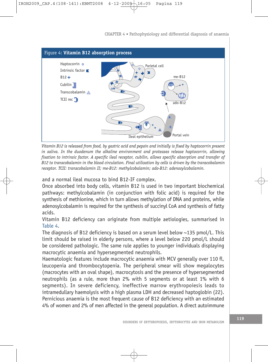

*Vitamin B12 is released from food, by gastric acid and pepsin and initially is fixed by haptocorrin present in saliva. In the duodenum the alkaline environment and proteases release haptocorrin, allowing fixation to intrinsic factor. A specific ileal receptor, cubilin, allows specific absorption and transfer of B12 to transcobalamin in the blood circulation. Final utilisation by cells is driven by the transcobalamin receptor. TCII: transcobalamin II; me-B12: methylcobalamin; ado-B12: adenosylcobalamin.*

and a normal ileal mucosa to bind B12-IF complex.

Once absorbed into body cells, vitamin B12 is used in two important biochemical pathways: methylcobalamin (in conjunction with folic acid) is required for the synthesis of methionine, which in turn allows methylation of DNA and proteins, while adenosylcobalamin is required for the synthesis of succinyl CoA and synthesis of fatty acids.

Vitamin B12 deficiency can originate from multiple aetiologies, summarised in Table 4.

The diagnosis of B12 deficiency is based on a serum level below ~135 pmol/L. This limit should be raised in elderly persons, where a level below 220 pmol/L should be considered pathologic. The same rule applies to younger individuals displaying macrocytic anaemia and hypersegmented neutrophils.

Haematologic features include macrocytic anaemia with MCV generally over 110 fl, leucopenia and thrombocytopenia. The peripheral smear will show megalocytes (macrocytes with an oval shape), macrocytosis and the presence of hypersegmented neutrophils (as a rule, more than 2% with 5 segments or at least 1% with 6 segments). In severe deficiency, ineffective marrow erythropoiesis leads to intramedullary haemolysis with a high plasma LDH and decreased haptoglobin (22). Pernicious anaemia is the most frequent cause of B12 deficiency with an estimated 4% of women and 2% of men affected in the general population. A direct autoimmune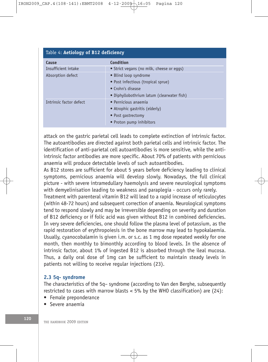| Table 4: Aetiology of B12 deficiency |                                            |
|--------------------------------------|--------------------------------------------|
| Cause                                | Condition                                  |
| Insufficient intake                  | • Strict vegans (no milk, cheese or eqqs)  |
| Absorption defect                    | • Blind loop syndrome                      |
|                                      | • Post infectious (tropical sprue)         |
|                                      | • Crohn's disease                          |
|                                      | • Diphyllobothrium latum (clearwater fish) |
| Intrinsic factor defect              | · Pernicious anaemia                       |
|                                      | • Atrophic gastritis (elderly)             |
|                                      | • Post gastrectomy                         |
|                                      | • Proton pump inhibitors                   |

attack on the gastric parietal cell leads to complete extinction of intrinsic factor. The autoantibodies are directed against both parietal cells and intrinsic factor. The identification of anti-parietal cell autoantibodies is more sensitive, while the antiintrinsic factor antibodies are more specific. About 70% of patients with pernicious anaemia will produce detectable levels of such autoantibodies.

As B12 stores are sufficient for about 5 years before deficiency leading to clinical symptoms, pernicious anaemia will develop slowly. Nowadays, the full clinical picture - with severe intramedullary haemolysis and severe neurological symptoms with demyelinisation leading to weakness and paraplegia - occurs only rarely.

Treatment with parenteral vitamin B12 will lead to a rapid increase of reticulocytes (within 48-72 hours) and subsequent correction of anaemia. Neurological symptoms tend to respond slowly and may be irreversible depending on severity and duration of B12 deficiency or if folic acid was given without B12 in combined deficiencies. In very severe deficiencies, one should follow the plasma level of potassium, as the rapid restoration of erythropoiesis in the bone marrow may lead to hypokalaemia. Usually, cyanocobalamin is given i.m. or s.c. as 1 mg dose repeated weekly for one month, then monthly to bimonthly according to blood levels. In the absence of intrinsic factor, about 1% of ingested B12 is absorbed through the ileal mucosa. Thus, a daily oral dose of 1mg can be sufficient to maintain steady levels in patients not willing to receive regular injections (23).

#### **2.3 5q- syndrome**

The characteristics of the 5q– syndrome (according to Van den Berghe, subsequently restricted to cases with marrow blasts  $<$  5% by the WHO classification) are (24):

- Female preponderance
- Severe anaemia

120 **THE HANDBOOK 2009 EDITION**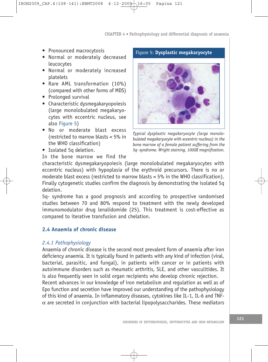- Pronounced macrocytosis
- Normal or moderately decreased leucocytes
- Normal or moderately increased platelets
- Rare AML transformation (10%) (compared with other forms of MDS)
- Prolonged survival
- Characteristic dysmegakaryopoiesis (large monolobulated megakaryocytes with eccentric nucleus, see also Figure 5)
- No or moderate blast excess (restricted to marrow blasts < 5% in the WHO classification)
- Isolated 5q deletion.

Figure 5: **Dysplastic megakaryocyte**



*Typical dysplastic megakaryocyte (large monolobulated megakaryocyte with eccentric nucleus) in the bone marrow of a female patient suffering from the 5q- syndrome. Wright staining, 1000X magnification.*

In the bone marrow we find the

characteristic dysmegakaryopoiesis (large monolobulated megakaryocytes with eccentric nucleus) with hypoplasia of the erythroid precursors. There is no or moderate blast excess (restricted to marrow blasts < 5% in the WHO classification). Finally cytogenetic studies confirm the diagnosis by demonstrating the isolated 5q deletion.

5q- syndrome has a good prognosis and according to prospective randomised studies between 70 and 80% respond to treatment with the newly developed immunomodulator drug lenalidomide (25). This treatment is cost-effective as compared to iterative transfusion and chelation.

# **2.4 Anaemia of chronic disease**

# *2.4.1 Pathophysiology*

Anaemia of chronic disease is the second most prevalent form of anaemia after iron deficiency anaemia. It is typically found in patients with any kind of infection (viral, bacterial, parasitic, and fungal), in patients with cancer or in patients with autoimmune disorders such as rheumatic arthritis, SLE, and other vasculitides. It is also frequently seen in solid organ recipients who develop chronic rejection. Recent advances in our knowledge of iron metabolism and regulation as well as of Epo function and secretion have improved our understanding of the pathophysiology of this kind of anaemia. In inflammatory diseases, cytokines like IL-1, IL-6 and TNF- $\alpha$  are secreted in conjunction with bacterial lipopolysaccharides. These mediators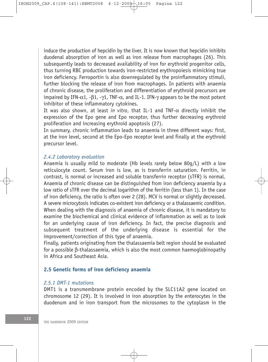induce the production of hepcidin by the liver. It is now known that hepcidin inhibits duodenal absorption of iron as well as iron release from macrophages (26). This subsequently leads to decreased availability of iron for erythroid progenitor cells, thus turning RBC production towards iron-restricted erythropoiesis mimicking true iron deficiency. Ferroportin is also downregulated by the proinflammatory stimuli, further blocking the release of iron from macrophages. In patients with anaemia of chronic disease, the proliferation and differentiation of erythroid precursors are impaired by IFN- $\alpha$ 1, - $\beta$ 1, - $\gamma$ 1, TNF- $\alpha$ , and IL-1. IFN- $\gamma$  appears to be the most potent inhibitor of these inflammatory cytokines.

It was also shown, at least *in vitro*, that IL-1 and TNF- $\alpha$  directly inhibit the expression of the Epo gene and Epo receptor, thus further decreasing erythroid proliferation and increasing erythroid apoptosis (27).

In summary, chronic inflammation leads to anaemia in three different ways: first, at the iron level, second at the Epo-Epo receptor level and finally at the erythroid precursor level.

# *2.4.2 Laboratory evaluation*

Anaemia is usually mild to moderate (Hb levels rarely below 80g/L) with a low reticulocyte count. Serum iron is low, as is transferrin saturation. Ferritin, in contrast, is normal or increased and soluble transferrin receptor (sTFR) is normal. Anaemia of chronic disease can be distinguished from iron deficiency anaemia by a low ratio of sTFR over the decimal logarithm of the ferritin (less than 1). In the case of iron deficiency, the ratio is often over 2 (28). MCV is normal or slightly decreased. A severe microcytosis indicates co-existent iron deficiency or a thalassaemic condition. When dealing with the diagnosis of anaemia of chronic disease, it is mandatory to examine the biochemical and clinical evidence of inflammation as well as to look for an underlying cause of iron deficiency. In fact, the precise diagnosis and subsequent treatment of the underlying disease is essential for the improvement/correction of this type of anaemia.

Finally, patients originating from the thalassaemia belt region should be evaluated for a possible b-thalassaemia, which is also the most common haemoglobinopathy in Africa and Southeast Asia.

# **2.5 Genetic forms of iron deficiency anaemia**

# *2.5.1 DMT-1 mutations*

DMT1 is a transmembrane protein encoded by the SLC11A2 gene located on chromosome 12 (29). It is involved in iron absorption by the enterocytes in the duodenum and in iron transport from the microsomes to the cytoplasm in the

122 **THE HANDBOOK 2009 EDITION**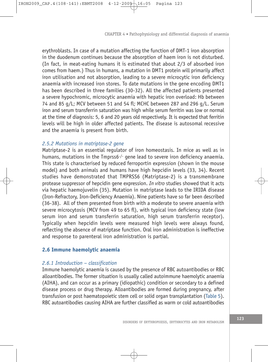erythroblasts. In case of a mutation affecting the function of DMT-1 iron absorption in the duodenum continues because the absorption of haem iron is not disturbed. (In fact, in meat-eating humans it is estimated that about 2/3 of absorbed iron comes from haem.) Thus in humans, a mutation in DMT1 protein will primarily affect iron utilisation and not absorption, leading to a severe microcytic iron deficiency anaemia with increased iron stores. To date mutations in the gene encoding DMT1 has been described in three families (30-32). All the affected patients presented a severe hypochromic, microcytic anaemia with hepatic iron overload: Hb between 74 and 85 g/L; MCV between 51 and 54 fl; MCHC between 287 and 296 g/L. Serum iron and serum transferrin saturation was high while serum ferritin was low or normal at the time of diagnosis: 5, 6 and 20 years old respectively. It is expected that ferritin levels will be high in older affected patients. The disease is autosomal recessive and the anaemia is present from birth.

# *2.5.2 Mutations in matriptase-2 gene*

Matriptase-2 is an essential regulator of iron homeostasis. In mice as well as in humans, mutations in the Tmprss6<sup>-/-</sup> gene lead to severe iron deficiency anaemia. This state is characterised by reduced ferroportin expression (shown in the mouse model) and both animals and humans have high hepcidin levels (33, 34). Recent studies have demonstrated that TMPRSS6 (Matriptase-2) is a transmembrane protease suppressor of hepcidin gene expression. *In vitro* studies showed that it acts via hepatic haemojuvelin (35). Mutation in matriptase leads to the IRIDA disease (Iron-Refractory, Iron-Deficiency Anaemia). Nine patients have so far been described (36-38). All of them presented from birth with a moderate to severe anaemia with severe microcytosis (MCV from 49 to 65 fl), with typical iron deficiency state (low serum iron and serum transferrin saturation, high serum transferrin receptor). Typically when hepcidin levels were measured high levels were always found, reflecting the absence of matriptase function. Oral iron administration is ineffective and response to parenteral iron administration is partial.

# **2.6 Immune haemolytic anaemia**

#### *2.6.1 Introduction – classification*

Immune haemolytic anaemia is caused by the presence of RBC autoantibodies or RBC alloantibodies. The former situation is usually called autoimmune haemolytic anaemia (AIHA), and can occur as a primary (idiopathic) condition or secondary to a defined disease process or drug therapy. Alloantibodies are formed during pregnancy, after transfusion or post haematopoietic stem cell or solid organ transplantation (Table 5). RBC autoantibodies causing AIHA are further classified as warm or cold autoantibodies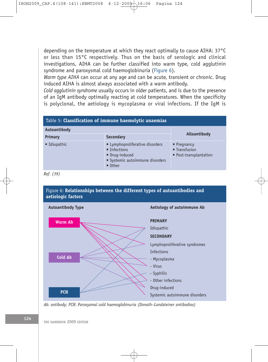depending on the temperature at which they react optimally to cause AIHA: 37°C or less than 15°C respectively. Thus on the basis of serologic and clinical investigations, AIHA can be further classified into warm type, cold agglutinin syndrome and paroxysmal cold haemoglobinuria (Figure 6).

*Warm type AIHA* can occur at any age and can be acute, transient or chronic. Drug induced AIHA is almost always associated with a warm antibody.

*Cold agglutinin syndrome* usually occurs in older patients, and is due to the presence of an IgM antibody optimally reacting at cold temperatures. When the specificity is polyclonal, the aetiology is mycoplasma or viral infections. If the IgM is

|              | Table 5: Classification of immune haemolytic anaemias                                                                   |                                                                |
|--------------|-------------------------------------------------------------------------------------------------------------------------|----------------------------------------------------------------|
| Autoantibody |                                                                                                                         |                                                                |
| Primary      | <b>Secondary</b>                                                                                                        | Alloantibody                                                   |
| • Idiopathic | • Lymphoproliferative disorders<br>• Infections<br>• Drug-induced<br>• Systemic autoimmune disorders<br>$\bullet$ Other | $\bullet$ Pregnancy<br>• Transfusion<br>• Post-transplantation |

*Ref. (39)*





*Ab: antibody; PCH: Paroxysmal cold haemoglobinuria (Donath–Landsteiner antibodies)*

124 THE HANDBOOK 2009 EDITION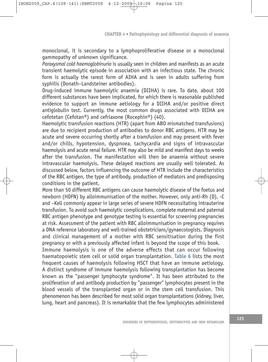monoclonal, it is secondary to a lymphoproliferative disease or a monoclonal gammopathy of unknown significance.

*Paroxysmal cold haemoglobinuria* is usually seen in children and manifests as an acute transient haemolytic episode in association with an infectious state. The chronic form is actually the rarest form of AIHA and is seen in adults suffering from syphilis (Donath–Landsteiner antibodies).

Drug-induced immune haemolytic anaemia (DIIHA) is rare. To date, about 100 different substances have been implicated, for which there is reasonable published evidence to support an immune aetiology for a DIIHA and/or positive direct antiglobulin test. Currently, the most common drugs associated with DIIHA are cefotetan (Cefotan®) and cefriaxone (Rocephin®) (40).

Haemolytic transfusion reactions (HTR) (apart from ABO mismatched transfusions) are due to recipient production of antibodies to donor RBC antigens. HTR may be acute and severe occurring shortly after a transfusion and may present with fever and/or chills, hypotension, dyspnoea, tachycardia and signs of intravascular haemolysis and acute renal failure. HTR may also be mild and manifest days to weeks after the transfusion. The manifestation will then be anaemia without severe intravascular haemolysis. These delayed reactions are usually well tolerated. As discussed below, factors influencing the outcome of HTR include the characteristics of the RBC antigen, the type of antibody, production of mediators and predisposing conditions in the patient.

More than 50 different RBC antigens can cause haemolytic disease of the foetus and newborn (HDFN) by alloimmunisation of the mother. However, only anti-Rh (D), -C and –Kell commonly appear in large series of severe HDFN necessitating intrauterine transfusion. To avoid such haemolytic complications, complete maternal and paternal RBC antigen phenotype and genotype testing is essential for screening pregnancies at risk. Assessment of the patient with RBC alloimmunisation in pregnancy requires a DNA reference laboratory and well-trained obstetricians/gynaecologists. Diagnosis and clinical management of a mother with RBC sensitisation during the first pregnancy or with a previously affected infant is beyond the scope of this book.

Immune haemolysis is one of the adverse effects that can occur following haematopoietic stem cell or solid organ transplantation. Table 6 lists the most frequent causes of haemolysis following HSCT that have an immune aetiology. A distinct syndrome of immune haemolysis following transplantation has become known as the "passenger lymphocyte syndrome". It has been attributed to the proliferation of and antibody production by "passenger" lymphocytes present in the blood vessels of the transplanted organ or in the stem cell transfusion. This phenomenon has been described for most solid organ transplantations (kidney, liver, lung, heart and pancreas). It is remarkable that the few lymphocytes administered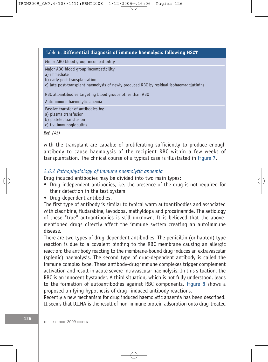#### Table 6: **Differential diagnosis of immune haemolysis following HSCT**

Minor ABO blood group incompatibility

Major ABO blood group incompatibility

a) immediate

b) early post transplantation

c) late post-transplant haemolysis of newly produced RBC by residual isohaemagglutinins

RBC alloantibodies targeting blood groups other than ABO

Autoimmune haemolytic anemia

Passive transfer of antibodies by:

a) plasma transfusion

b) platelet transfusion

c) i.v. immunoglobulins

*Ref. (41)*

with the transplant are capable of proliferating sufficiently to produce enough antibody to cause haemolysis of the recipient RBC within a few weeks of transplantation. The clinical course of a typical case is illustrated in Figure 7.

# *2.6.2 Pathophysiology of immune haemolytic anaemia*

Drug induced antibodies may be divided into two main types:

- Drug-independent antibodies, i.e. the presence of the drug is not required for their detection in the test system
- Drug-dependent antibodies.

The first type of antibody is similar to typical warm autoantibodies and associated with cladribine, fludarabine, levodopa, methyldopa and procainamide. The aetiology of these "true" autoantibodies is still unknown. It is believed that the abovementioned drugs directly affect the immune system creating an autoimmune disease.

There are two types of drug-dependent antibodies. The penicillin (or hapten) type reaction is due to a covalent binding to the RBC membrane causing an allergic reaction; the antibody reacting to the membrane-bound drug induces an extravascular (splenic) haemolysis. The second type of drug-dependent antibody is called the immune complex type. These antibody-drug immune complexes trigger complement activation and result in acute severe intravascular haemolysis. In this situation, the RBC is an innocent bystander. A third situation, which is not fully understood, leads to the formation of autoantibodies against RBC components. Figure 8 shows a proposed unifying hypothesis of drug- induced antibody reactions.

Recently a new mechanism for drug induced haemolytic anaemia has been described. It seems that DIIHA is the result of non-immune protein adsorption onto drug-treated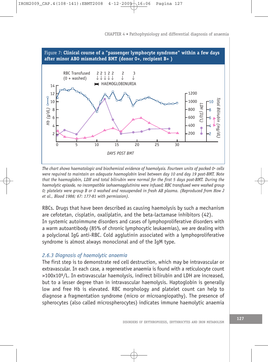

*The chart shows haematologic and biochemical evidence of haemolysis. Fourteen units of packed 0+ cells were required to maintain an adequate haemoglobin level between day 10 and day 19 post-BMT. Note that the haemoglobin, LDH and total bilirubin were normal for the first 5 days post-BMT. During the haemolytic episode, no incompatible isohaemagglutinins were infused; RBC transfused were washed group 0; platelets were group B or 0 washed and resuspended in fresh AB plasma. (Reproduced from How J et al., Blood 1986; 67: 177-81 with permission).*

RBCs. Drugs that have been described as causing haemolysis by such a mechanism are cefotetan, cisplatin, oxaliplatin, and the beta-lactamase inhibitors (42). In systemic autoimmune disorders and cases of lymphoproliferative disorders with a warm autoantibody (85% of chronic lymphocytic leukaemias), we are dealing with a polyclonal IgG anti-RBC. Cold agglutinin associated with a lymphoproliferative syndrome is almost always monoclonal and of the IgM type.

# *2.6.3 Diagnosis of haemolytic anaemia*

The first step is to demonstrate red cell destruction, which may be intravascular or extravascular. In each case, a regenerative anaemia is found with a reticulocyte count >100x109/L. In extravascular haemolysis, indirect bilirubin and LDH are increased, but to a lesser degree than in intravascular haemolysis. Haptoglobin is generally low and free Hb is elevated. RBC morphology and platelet count can help to diagnose a fragmentation syndrome (micro or microangiopathy). The presence of spherocytes (also called microspherocytes) indicates immune haemolytic anaemia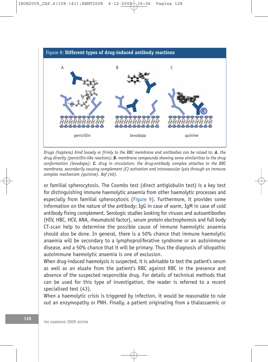

*Drugs (haptens) bind loosely or firmly to the RBC membrane and antibodies can be raised to: A. the drug directly (penicillin-like reaction); B. membrane compounds showing some similarities to the drug conformation (levodopa); C. drug in circulation; the drug-antibody complex attaches to the RBC membrane, secondarily causing complement (C) activation and intravascular lysis through an immune complex mechanism (quinine). Ref (40).*

or familial spherocytosis. The Coombs test (direct antiglobulin test) is a key test for distinguishing immune haemolytic anaemia from other haemolytic processes and especially from familial spherocytosis (Figure 9). Furthermore, it provides some information on the nature of the antibody: IgG in case of warm, IgM in case of cold antibody fixing complement. Serologic studies looking for viruses and autoantibodies (HIV, HBC, HCV, ANA, rheumatoid factor), serum protein electrophoresis and full body CT-scan help to determine the possible cause of immune haemolytic anaemia should also be done. In general, there is a 50% chance that immune haemolytic anaemia will be secondary to a lymphoproliferative syndrome or an autoimmune disease, and a 50% chance that it will be primary. Thus the diagnosis of idiopathic autoimmune haemolytic anaemia is one of exclusion.

When drug-induced haemolysis is suspected, it is advisable to test the patient's serum as well as an eluate from the patient's RBC against RBC in the presence and absence of the suspected responsible drug. For details of technical methods that can be used for this type of investigation, the reader is referred to a recent specialised text (43).

When a haemolytic crisis is triggered by infection, it would be reasonable to rule out an enzymopathy or PNH. Finally, a patient originating from a thalassaemic or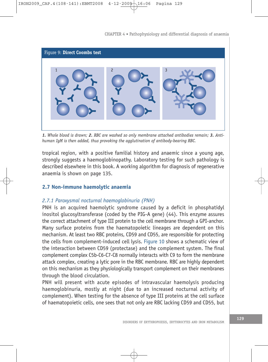

*1. Whole blood is drawn; 2. RBC are washed so only membrane attached antibodies remain; 3. Antihuman IgM is then added, thus provoking the agglutination of antibody-bearing RBC.*

tropical region, with a positive familial history and anaemic since a young age, strongly suggests a haemoglobinopathy. Laboratory testing for such pathology is described elsewhere in this book. A working algorithm for diagnosis of regenerative anaemia is shown on page 135.

# **2.7 Non-immune haemolytic anaemia**

# *2.7.1 Paroxysmal nocturnal haemoglobinuria (PNH)*

PNH is an acquired haemolytic syndrome caused by a deficit in phosphatidyl inositol glucosyltransferase (coded by the PIG-A gene) (44). This enzyme assures the correct attachment of type III protein to the cell membrane through a GPI-anchor. Many surface proteins from the haematopoietic lineages are dependent on this mechanism. At least two RBC proteins, CD59 and CD55, are responsible for protecting the cells from complement-induced cell lysis. Figure 10 shows a schematic view of the interaction between CD59 (protectase) and the complement system. The final complement complex C5b-C6-C7-C8 normally interacts with C9 to form the membrane attack complex, creating a lytic pore in the RBC membrane. RBC are highly dependent on this mechanism as they physiologically transport complement on their membranes through the blood circulation.

PNH will present with acute episodes of intravascular haemolysis producing haemoglobinuria, mostly at night (due to an increased nocturnal activity of complement). When testing for the absence of type III proteins at the cell surface of haematopoietic cells, one sees that not only are RBC lacking CD59 and CD55, but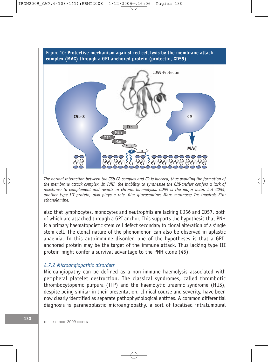

*The normal interaction between the C5b-C8 complex and C9 is blocked, thus avoiding the formation of the membrane attack complex. In PNH, the inability to synthesise the GPI-anchor confers a lack of resistance to complement and results in chronic haemolysis. CD59 is the major actor, but CD55, another type III protein, also plays a role. Glu: glucosamine; Man: mannose; In: inositol; Etn: ethanolamine.*

also that lymphocytes, monocytes and neutrophils are lacking CD56 and CD57, both of which are attached through a GPI anchor. This supports the hypothesis that PNH is a primary haematopoietic stem cell defect secondary to clonal alteration of a single stem cell. The clonal nature of the phenomenon can also be observed in aplastic anaemia. In this autoimmune disorder, one of the hypotheses is that a GPIanchored protein may be the target of the immune attack. Thus lacking type III protein might confer a survival advantage to the PNH clone (45).

# *2.7.2 Microangiopathic disorders*

Microangiopathy can be defined as a non-immune haemolysis associated with peripheral platelet destruction. The classical syndromes, called thrombotic thrombocytopenic purpura (TTP) and the haemolytic uraemic syndrome (HUS), despite being similar in their presentation, clinical course and severity, have been now clearly identified as separate pathophysiological entities. A common differential diagnosis is paraneoplastic microangiopathy, a sort of localised intratumoural

130 **130** THE HANDBOOK 2009 EDITION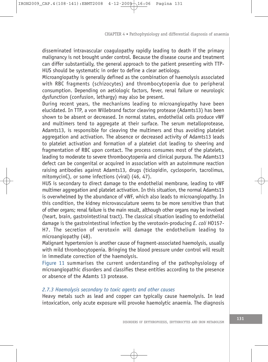disseminated intravascular coagulopathy rapidly leading to death if the primary malignancy is not brought under control. Because the disease course and treatment can differ substantially, the general approach to the patient presenting with TTP-HUS should be systematic in order to define a clear aetiology.

Microangiopathy is generally defined as the combination of haemolysis associated with RBC fragments (schizocytes) and thrombocytopenia due to peripheral consumption. Depending on aetiologic factors, fever, renal failure or neurologic dysfunction (confusion, lethargy) may also be present.

During recent years, the mechanisms leading to microangiopathy have been elucidated. In TTP, a von Willebrand factor cleaving protease (Adamts13) has been shown to be absent or decreased. In normal states, endothelial cells produce vWF and multimers tend to aggregate at their surface. The serum metalloprotease, Adamts13, is responsible for cleaving the multimers and thus avoiding platelet aggregation and activation. The absence or decreased activity of Adamts13 leads to platelet activation and formation of a platelet clot leading to sheering and fragmentation of RBC upon contact. The process consumes most of the platelets, leading to moderate to severe thrombocytopenia and clinical purpura. The Adamts13 defect can be congenital or acquired in association with an autoimmune reaction raising antibodies against Adamts13, drugs (ticlopidin, cyclosporin, tacrolimus, mitomycinC), or some infections (viral) (46, 47).

HUS is secondary to direct damage to the endothelial membrane, leading to vWF multimer aggregation and platelet activation. In this situation, the normal Adamts13 is overwhelmed by the abundance of vWF, which also leads to microangiopathy. In this condition, the kidney microvasculature seems to be more sensitive than that of other organs; renal failure is the main result, although other organs may be involved (heart, brain, gastrointestinal tract). The classical situation leading to endothelial damage is the gastrointestinal infection by the verotoxin-producing *E. coli* HO157- H7. The secretion of verotoxin will damage the endothelium leading to microangiopathy (48).

Malignant hypertension is another cause of fragment-associated haemolysis, usually with mild thrombocytopenia. Bringing the blood pressure under control will result in immediate correction of the haemolysis.

Figure 11 summarises the current understanding of the pathophysiology of microangiopathic disorders and classifies these entities according to the presence or absence of the Adamts 13 protease.

# *2.7.3 Haemolysis secondary to toxic agents and other causes*

Heavy metals such as lead and copper can typically cause haemolysis. In lead intoxication, only acute exposure will provoke haemolytic anaemia. The diagnosis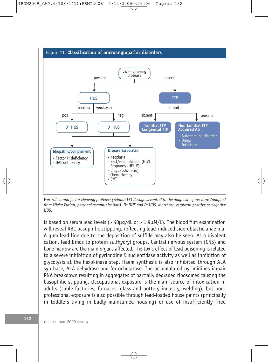

*Von Willebrand factor cleaving protease (Adamts13) dosage is central to the diagnostic procedure (adapted from Micha Furlan, personal communication). D<sup>+</sup> HUS and D- HUS, diarrhoea verotoxin positive or negative HUS.*

is based on serum lead levels  $(> 40\mu q/dL)$  or  $> 1.9\mu q/L$ ). The blood film examination will reveal RBC basophilic stippling, reflecting lead-induced sideroblastic anaemia. A gum lead line due to the deposition of sulfide may also be seen. As a divalent cation, lead binds to protein sulfhydryl groups. Central nervous system (CNS) and bone marrow are the main organs affected. The toxic effect of lead poisoning is related to a severe inhibition of pyrimidine 5'nucleotidase activity as well as inhibition of glycolysis at the hexokinase step. Haem synthesis is also inhibited through ALA synthase, ALA dehydrase and ferrochelatase. The accumulated pyrimidines impair RNA breakdown resulting in aggregates of partially degraded ribosomes causing the basophilic stippling. Occupational exposure is the main source of intoxication in adults (cable factories, furnaces, glass and pottery industry, welding), but nonprofessional exposure is also possible through lead-loaded house paints (principally in toddlers living in badly maintained housing) or use of insufficiently fired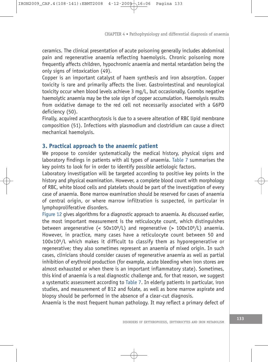ceramics. The clinical presentation of acute poisoning generally includes abdominal pain and regenerative anaemia reflecting haemolysis. Chronic poisoning more frequently affects children, hypochromic anaemia and mental retardation being the only signs of intoxication (49).

Copper is an important catalyst of haem synthesis and iron absorption. Copper toxicity is rare and primarily affects the liver. Gastrointestinal and neurological toxicity occur when blood levels achieve 3 mg/L, but occasionally, Coombs negative haemolytic anaemia may be the sole sign of copper accumulation. Haemolysis results from oxidative damage to the red cell not necessarily associated with a G6PD deficiency (50).

Finally, acquired acanthocytosis is due to a severe alteration of RBC lipid membrane composition (51). Infections with plasmodium and clostridium can cause a direct mechanical haemolysis.

#### **3. Practical approach to the anaemic patient**

We propose to consider systematically the medical history, physical signs and laboratory findings in patients with all types of anaemia. Table 7 summarises the key points to look for in order to identify possible aetiologic factors.

Laboratory investigation will be targeted according to positive key points in the history and physical examination. However, a complete blood count with morphology of RBC, white blood cells and platelets should be part of the investigation of every case of anaemia. Bone marrow examination should be reserved for cases of anaemia of central origin, or where marrow infiltration is suspected, in particular in lymphoproliferative disorders.

Figure 12 gives algorithms for a diagnostic approach to anaemia. As discussed earlier, the most important measurement is the reticulocyte count, which distinguishes between aregenerative  $\left($  < 50x10<sup>9</sup>/L) and regenerative  $\left($  > 100x10<sup>9</sup>/L) anaemia. However, in practice, many cases have a reticulocyte count between 50 and 100x109/L which makes it difficult to classify them as hyporegenerative or regenerative; they also sometimes represent an anaemia of mixed origin. In such cases, clinicians should consider causes of regenerative anaemia as well as partial inhibition of erythroid production (for example, acute bleeding when iron stores are almost exhausted or when there is an important inflammatory state). Sometimes, this kind of anaemia is a real diagnostic challenge and, for that reason, we suggest a systematic assessment according to Table 7. In elderly patients in particular, iron studies, and measurement of B12 and folate, as well as bone marrow aspirate and biopsy should be performed in the absence of a clear-cut diagnosis.

Anaemia is the most frequent human pathology. It may reflect a primary defect of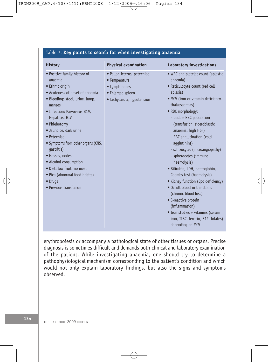| Table 7: Key points to search for when investigating anaemia                                                                                                                                                                                                                                                                                                                                                                                                       |                                                                                                                   |                                                                                                                                                                                                                                                                                                                                                                                                                                                                                                                                                                                                                                                                                        |
|--------------------------------------------------------------------------------------------------------------------------------------------------------------------------------------------------------------------------------------------------------------------------------------------------------------------------------------------------------------------------------------------------------------------------------------------------------------------|-------------------------------------------------------------------------------------------------------------------|----------------------------------------------------------------------------------------------------------------------------------------------------------------------------------------------------------------------------------------------------------------------------------------------------------------------------------------------------------------------------------------------------------------------------------------------------------------------------------------------------------------------------------------------------------------------------------------------------------------------------------------------------------------------------------------|
| <b>History</b>                                                                                                                                                                                                                                                                                                                                                                                                                                                     | <b>Physical examination</b>                                                                                       | <b>Laboratory investigations</b>                                                                                                                                                                                                                                                                                                                                                                                                                                                                                                                                                                                                                                                       |
| • Positive family history of<br>anaemia<br>• Ethnic origin<br>• Acuteness of onset of anaemia<br>· Bleeding: stool, urine, lungs,<br>menses<br>• Infection: Parvovirus B19,<br>Hepatitis, HIV<br>• Phlebotomy<br>· Jaundice, dark urine<br>$\bullet$ Petechiae<br>• Symptoms from other organs (CNS,<br>qastritis)<br>· Masses, nodes<br>• Alcohol consumption<br>· Diet: low fruit, no meat<br>• Pica (abnormal food habits)<br>• Drugs<br>• Previous transfusion | · Pallor, icterus, petechiae<br>• Temperature<br>• Lymph nodes<br>• Enlarged spleen<br>· Tachycardia, hypotension | . WBC and platelet count (aplastic<br>anaemia)<br>· Reticulocyte count (red cell<br>aplasia)<br>• MCV (iron or vitamin deficiency,<br>thalassaemias)<br>• RBC morphology:<br>- double RBC population<br>(transfusion, sideroblastic<br>anaemia, high HbF)<br>- RBC agglutination (cold<br>agglutinins)<br>- schizocytes (microangiopathy)<br>- spherocytes (immune<br>haemolysis)<br>· Bilirubin, LDH, haptoqlobin,<br>Coombs test (haemolysis)<br>• Kidney function (Epo deficiency)<br>• Occult blood in the stools<br>(chronic blood loss)<br>• C-reactive protein<br>(inflammation)<br>• Iron studies + vitamins (serum<br>iron, TIBC, ferritin, B12, folates)<br>depending on MCV |

erythropoiesis or accompany a pathological state of other tissues or organs. Precise diagnosis is sometimes difficult and demands both clinical and laboratory examination of the patient. While investigating anaemia, one should try to determine a pathophysiological mechanism corresponding to the patient's condition and which would not only explain laboratory findings, but also the signs and symptoms observed.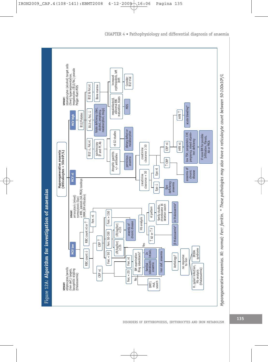

 $\overline{\oplus}$ 

CHAPTER 4 • Pathophysiology and differential diagnosis of anaemia

**135**

DISORDERS OF ERYTHROPOIESIS, ERYTHROCYTES AND IRON METABOLISM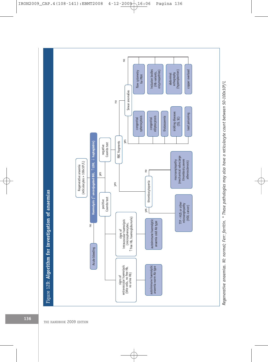

 $\overline{\varphi}$ 

IRON2009\_CAP.4(108-141):EBMT2008 4-12-2009 16:06 Pagina 136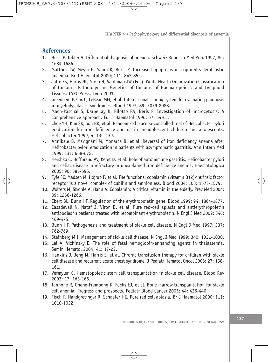# **References**

- 1. Beris P, Tobler A. Differential diagnosis of anemia. Schweiz Rundsch Med Prax 1997; 86: 1684-1686.
- 2. Matthes TW, Meyer G, Samii K, Beris P. Increased apoptosis in acquired sideroblastic anaemia. Br J Haematol 2000; 111: 843-852.
- 3. Jaffe ES, Harris NL, Stein H, Vardiman JW (Eds): World Health Organization Classification of tumours. Pathology and Genetics of tumours of Haematopoietic and Lymphoid Tissues. IARC Press: Lyon 2001.
- 4. Greenberg P, Cox C, LeBeau MM, et al. International scoring system for evaluating prognosis in myelodysplastic syndromes. Blood 1997; 89: 2079-2088.
- 5. Mach-Pascual S, Darbellay R, Pilotto PA, Beris P. Investigation of microcytosis: A comprehensive approach. Eur J Haematol 1996; 57: 54-61.
- 6. Choe YH, Kim SK, Son BK, et al. Randomized placebo-controlled trial of Helicobacter pylori eradication for iron-deficiency anemia in preadolescent children and adolescents. Helicobacter 1999; 4: 135-139.
- 7. Annibale B, Marignani M, Monarca B, et al. Reversal of iron deficiency anemia after Helicobacter pylori eradication in patients with asymptomatic gastritis. Ann Intern Med 1999; 131: 668-672.
- 8. Hershko C, Hoffbrand AV, Keret D, et al. Role of autoimmune gastritis, Helicobacter pylori and celiac disease in refractory or unexplained iron deficiency anemia. Haematologica 2005; 90: 585-595.
- 9. Fyfe JC, Madsen M, Hojrup P, et al. The functional cobalamin (vitamin B12)-intrinsic factor receptor is a novel complex of cubilin and amnionless. Blood 2004; 103: 1573-1579.
- 10. Wolters M, Strohle A, Hahn A. Cobalamin: A critical vitamin in the elderly. Prev Med 2004; 39: 1256-1266.
- 11. Ebert BL, Bunn HF. Regulation of the erythropoietin gene. Blood 1999; 94: 1864-1877.
- 12. Casadevall N, Nataf J, Viron B, et al. Pure red-cell aplasia and antierythropoietin antibodies in patients treated with recombinant erythropoietin. N Engl J Med 2002; 346: 469-475.
- 13. Bunn HF. Pathogenesis and treatment of sickle cell disease. N Engl J Med 1997; 337: 762-769.
- 14. Steinberg MH. Management of sickle cell disease. N Engl J Med 1999; 340: 1021-1030.
- 15. Lal A, Vichinsky E. The role of fetal hemoglobin-enhancing agents in thalassemia. Semin Hematol 2004; 41: 17-22.
- 16. Hankins J, Jeng M, Harris S, et al. Chronic transfusion therapy for children with sickle cell disease and recurrent acute chest syndrome. J Pediatr Hematol Oncol 2005; 27: 158- 161.
- 17. Vermylen C. Hematopoietic stem cell transplantation in sickle cell disease. Blood Rev 2003; 17: 163-166.
- 18. Iannone R, Ohene-Frempong K, Fuchs EJ, et al. Bone marrow transplantation for sickle cell anemia: Progress and prospects. Pediatr Blood Cancer 2005; 44: 436-440.
- 19. Fisch P, Handgretinger R, Schaefer HE. Pure red cell aplasia. Br J Haematol 2000; 111: 1010-1022.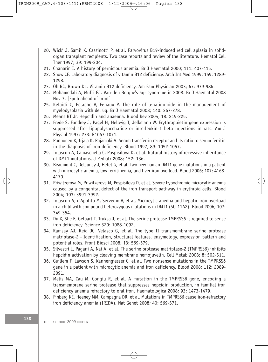- 20. Wicki J, Samii K, Cassinotti P, et al. Parvovirus B19-induced red cell aplasia in solidorgan transplant recipients. Two case reports and review of the literature. Hematol Cell Ther 1997; 39: 199-204.
- 21. Chanarin I. A history of pernicious anemia. Br J Haematol 2000; 111: 407-415.
- 22. Snow CF. Laboratory diagnosis of vitamin B12 deficiency. Arch Int Med 1999; 159: 1289- 1298.
- 23. Oh RC, Brown DL. Vitamin B12 deficiency. Am Fam Physician 2003; 67: 979-986.
- 24. Mohamedali A, Mufti GJ. Van-den Berghe's 5q- syndrome in 2008. Br J Haematol 2008 Nov 7. [Epub ahead of print]
- 25. Kelaidi C, Eclache V, Fenaux P. The role of lenalidomide in the management of myelodysplasia with del 5q. Br J Haematol 2008; 140: 267-278.
- 26. Means RT Jr. Hepcidin and anaemia. Blood Rev 2004; 18: 219-225.
- 27. Frede S, Fandrey J, Pagel H, Hellwig T, Jelkmann W. Erythropoietin gene expression is suppressed after lipopolysaccharide or interleukin-1 beta injections in rats. Am J Physiol 1997; 273: R1067-1071.
- 28. Punnonen K, Irjala K, Rajamaki A. Serum transferrin receptor and its ratio to serum ferritin in the diagnosis of iron deficiency. Blood 1997; 89: 1052-1057.
- 29. Iolascon A, Camaschella C, Pospisilova D, et al. Natural history of recessive inheritance of DMT1 mutations. J Pediatr 2008; 152: 136.
- 30. Beaumont C, Delaunay J, Hetet G, et al. Two new human DMT1 gene mutations in a patient with microcytic anemia, low ferritinemia, and liver iron overload. Blood 2006; 107: 4168- 4170.
- 31. Priwitzerova M, Priwitzerova M, Pospisilova D, et al. Severe hypochromic microcytic anemia caused by a congenital defect of the iron transport pathway in erythroid cells. Blood 2004; 103: 3991-3992.
- 32. Iolascon A, d'Apolito M, Servedio V, et al. Microcytic anemia and hepatic iron overload in a child with compound heterozygous mutations in DMT1 (SCL11A2). Blood 2006; 107: 349-354.
- 33. Du X, She E, Gelbart T, Truksa J, et al. The serine protease TMPRSS6 is required to sense iron deficiency. Science 320: 1088-1092.
- 34. Ramsay AJ, Reid JC, Velasco G, et al. The type II transmembrane serine protease matriptase-2 - Identification, structural features, enzymology, expression pattern and potential roles. Front Biosci 2008; 13: 569-579.
- 35. Silvestri L, Pagani A, Nai A, et al. The serine protease matriptase-2 (TMPRSS6) inhibits hepcidin activation by cleaving membrane hemojuvelin. Cell Metab 2008; 8: 502-511.
- 36. Guillem F, Lawson S, Kannengiesser C, et al. Two nonsense mutations in the TMPRSS6 gene in a patient with microcytic anemia and iron deficiency. Blood 2008; 112: 2089- 2091.
- 37. Melis MA, Cau M, Congiu R, et al. A mutation in the TMPRSS6 gene, encoding a transmembrane serine protease that suppresses hepcidin production, in familial iron deficiency anemia refractory to oral iron. Haematologica 2008; 93: 1473-1479.
- 38. Finberg KE, Heeney MM, Campagna DR, et al. Mutations in TMPRSS6 cause iron-refractory iron deficiency anemia (IRIDA). Nat Genet 2008; 40: 569-571.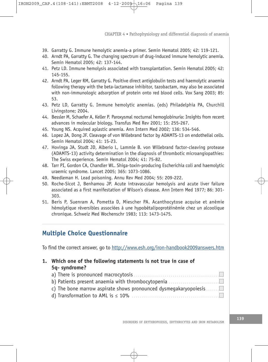- 39. Garratty G. Immune hemolytic anemia-a primer. Semin Hematol 2005; 42: 119-121.
- 40. Arndt PA, Garratty G. The changing spectrum of drug-induced immune hemolytic anemia. Semin Hematol 2005; 42: 137-144.
- 41. Petz LD. Immune hemolysis associated with transplantation. Semin Hematol 2005; 42: 145-155.
- 42. Arndt PA, Leger RM, Garratty G. Positive direct antiglobulin tests and haemolytic anaemia following therapy with the beta-lactamase inhibitor, tazobactam, may also be associated with non-immunologic adsorption of protein onto red blood cells. Vox Sang 2003; 85: 53.
- 43. Petz LD, Garratty G. Immune hemolytic anemias. (eds) Philadelphia PA, Churchill Livingstone; 2004.
- 44. Bessler M, Schaefer A, Keller P. Paroxysmal nocturnal hemoglobinuria: Insights from recent advances in molecular biology. Transfus Med Rev 2001; 15: 255-267.
- 45. Young NS. Acquired aplastic anemia. Ann Intern Med 2002; 136: 534-546.
- 46. Lopez JA, Dong JF. Cleavage of von Willebrand factor by ADAMTS-13 on endothelial cells. Semin Hematol 2004; 41: 15-23.
- 47. Hovinga JA, Studt JD, Alberio L, Lammle B. von Willebrand factor-cleaving protease (ADAMTS-13) activity determination in the diagnosis of thrombotic microangiopathies: The Swiss experience. Semin Hematol 2004; 41: 75-82.
- 48. Tarr PI, Gordon CA, Chandler WL. Shiga-toxin-producing Escherichia coli and haemolytic uraemic syndrome. Lancet 2005; 365: 1073-1086.
- 49. Needleman H. Lead poisoning. Annu Rev Med 2004; 55: 209-222.
- 50. Roche-Sicot J, Benhamou JP. Acute intravascular hemolysis and acute liver failure associated as a first manifestation of Wilson's disease. Ann Intern Med 1977; 86: 301- 303.
- 51. Beris P, Suenram A, Pometta D, Miescher PA. Acanthocytose acquise et anémie hémolytique réversibles associées à une hypobêtalipoprotéinémie chez un alcoolique chronique. Schweiz Med Wochenschr 1983; 113: 1473-1475.

# **Multiple Choice Questionnaire**

To find the correct answer, go to http://www.esh.org/iron-handbook2009answers.htm

# **1. Which one of the following statements is not true in case of 5q- syndrome?**

- a) There is pronounced macrocytosis . . . . . . . b) Patients present anaemia with thrombocytopenia . . . . . . . . . . . . . . . . . . . . . . . . . .
- c) The bone marrow aspirate shows pronounced dysmegakaryopoiesis. . . . . . .
- d) Transformation to AML is *≤* 10% . . . . . . . . . . . . . . . . . . . . . . . . . . . . . . . . . . . . . . . . . . . . .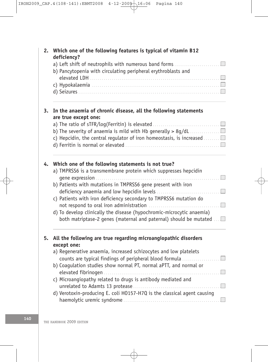| 2. | Which one of the following features is typical of vitamin B12<br>deficiency?                                           |
|----|------------------------------------------------------------------------------------------------------------------------|
|    | a) Left shift of neutrophils with numerous band forms<br>b) Pancytopenia with circulating peripheral erythroblasts and |
|    |                                                                                                                        |
|    |                                                                                                                        |
| 3. | In the anaemia of chronic disease, all the following statements<br>are true except one:                                |
|    |                                                                                                                        |
|    | b) The severity of anaemia is mild with Hb generally $> 8g/dL$                                                         |
|    | c) Hepcidin, the central regulator of iron homeostasis, is increased $\ldots \ldots \square$                           |
|    |                                                                                                                        |
| 4. | Which one of the following statements is not true?                                                                     |
|    | a) TMPRSS6 is a transmembrane protein which suppresses hepcidin                                                        |
|    | b) Patients with mutations in TMPRSS6 gene present with iron                                                           |
|    | c) Patients with iron deficiency secondary to TMPRSS6 mutation do<br>not respond to oral iron administration           |
|    | d) To develop clinically the disease (hypochromic-microcytic anaemia)                                                  |
|    | both matriptase-2 genes (maternal and paternal) should be mutated                                                      |
| 5. | All the following are true regarding microangiopathic disorders                                                        |
|    | except one:                                                                                                            |
|    | a) Regenerative anaemia, increased schizocytes and low platelets                                                       |
|    | counts are typical findings of peripheral blood formula                                                                |
|    | b) Coagulation studies show normal PT, normal aPTT, and normal or                                                      |
|    | c) Microangiopathy related to drugs is antibody mediated and                                                           |
|    |                                                                                                                        |
|    | d) Verotoxin-producing E. coli H0157-H7Q is the classical agent causing                                                |
|    |                                                                                                                        |

Æ